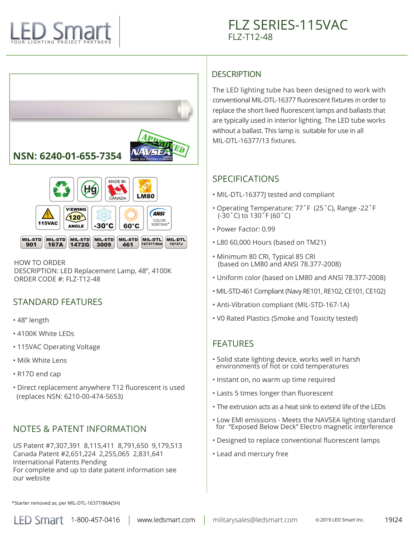

HOW TO ORDER DESCRIPTION: LED Replacement Lamp, 48", 4100K ORDER CODE #: FLZ-T12-48

# STANDARD FEATURES

- 48" length
- 4100K White LEDs
- 115VAC Operating Voltage
- Milk White Lens
- R17D end cap
- Direct replacement anywhere T12 fluorescent is used (replaces NSN: 6210-00-474-5653)

### NOTES & PATENT INFORMATION

US Patent #7,307,391 8,115,411 8,791,650 9,179,513 Canada Patent #2,651,224 2,255,065 2,831,641 International Patents Pending For complete and up to date patent information see our website

#### **DESCRIPTION**

The LED lighting tube has been designed to work with conventional MIL-DTL-16377 fluorescent fixtures in order to replace the short lived fluorescent lamps and ballasts that are typically used in interior lighting. The LED tube works without a ballast. This lamp is suitable for use in all MIL-DTL-16377/13 fixtures.

# SPECIFICATIONS

- MIL-DTL-16377J tested and compliant
- Operating Temperature: 77˚F (25˚C), Range -22˚F (-30˚C) to 130˚F (60˚C)
- Power Factor: 0.99
- L80 60,000 Hours (based on TM21)
- Minimum 80 CRI, Typical 85 CRI (based on LM80 and ANSI 78.377-2008)
- Uniform color (based on LM80 and ANSI 78.377-2008)
- MIL-STD-461 Compliant (Navy RE101, RE102, CE101, CE102)
- Anti-Vibration compliant (MIL-STD-167-1A)
- V0 Rated Plastics (Smoke and Toxicity tested)

# FEATURES

- Solid state lighting device, works well in harsh environments of hot or cold temperatures
- Instant on, no warm up time required
- Lasts 5 times longer than fluorescent
- The extrusion acts as a heat sink to extend life of the LEDs
- Low EMI emissions Meets the NAVSEA lighting standard for "Exposed Below Deck" Electro magnetic interference
- Designed to replace conventional fluorescent lamps
- Lead and mercury free

\*Starter removed as, per MIL-DTL-16377/86A(SH)